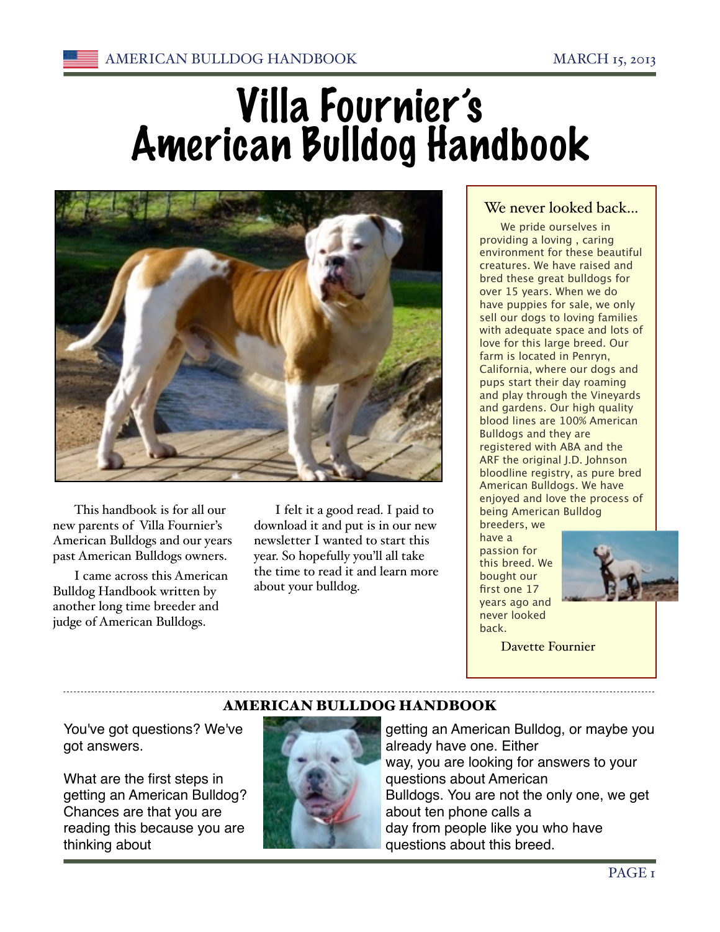# Villa Fournier's American Bulldog Handbook



This handbook is for all our new parents of Villa Fournier's American Bulldogs and our years past American Bulldogs owners.

I came across this American Bulldog Handbook written by another long time breeder and judge of American Bulldogs.

I felt it a good read. I paid to download it and put is in our new newsletter I wanted to start this year. So hopefully you'll all take the time to read it and learn more about your bulldog.

#### We never looked back...

We pride ourselves in providing a loving , caring environment for these beautiful creatures. We have raised and bred these great bulldogs for over 15 years. When we do have puppies for sale, we only sell our dogs to loving families with adequate space and lots of love for this large breed. Our farm is located in Penryn, California, where our dogs and pups start their day roaming and play through the Vineyards and gardens. Our high quality blood lines are 100% American Bulldogs and they are registered with ABA and the ARF the original J.D. Johnson bloodline registry, as pure bred American Bulldogs. We have enjoyed and love the process of being American Bulldog

breeders, we have a passion for this breed. We bought our first one 17 years ago and never looked back.



Davette Fournier

#### AMERICAN BULLDOG HANDBOOK

You've got questions? We've got answers.

What are the first steps in getting an American Bulldog? Chances are that you are reading this because you are thinking about



getting an American Bulldog, or maybe you already have one. Either way, you are looking for answers to your questions about American Bulldogs. You are not the only one, we get about ten phone calls a day from people like you who have questions about this breed.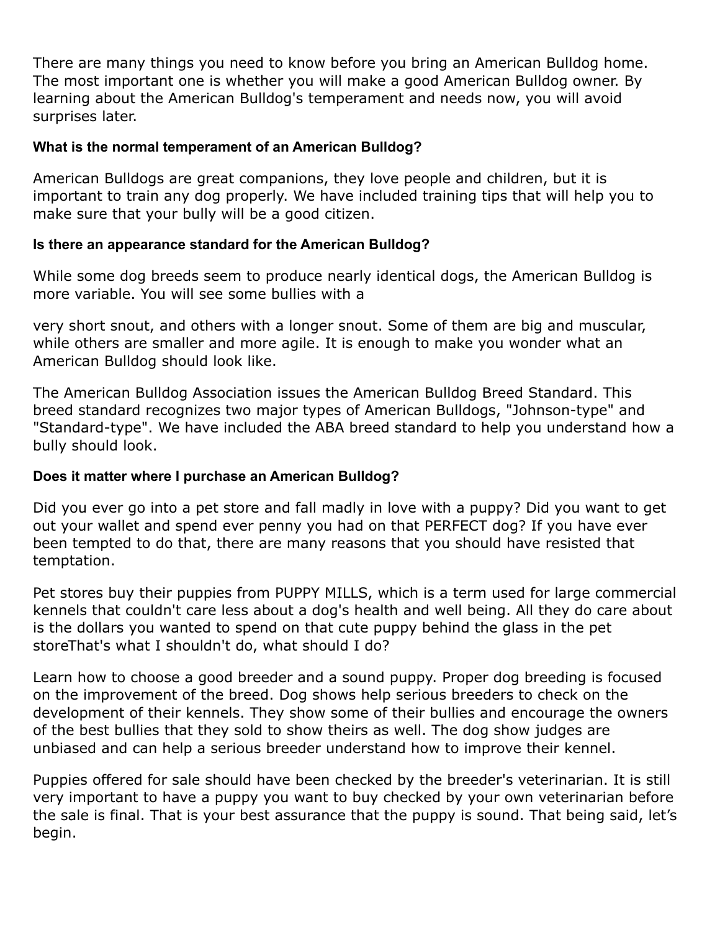There are many things you need to know before you bring an American Bulldog home. The most important one is whether you will make a good American Bulldog owner. By learning about the American Bulldog's temperament and needs now, you will avoid surprises later.

#### **What is the normal temperament of an American Bulldog?**

American Bulldogs are great companions, they love people and children, but it is important to train any dog properly. We have included training tips that will help you to make sure that your bully will be a good citizen.

#### **Is there an appearance standard for the American Bulldog?**

While some dog breeds seem to produce nearly identical dogs, the American Bulldog is more variable. You will see some bullies with a

very short snout, and others with a longer snout. Some of them are big and muscular, while others are smaller and more agile. It is enough to make you wonder what an American Bulldog should look like.

The American Bulldog Association issues the American Bulldog Breed Standard. This breed standard recognizes two major types of American Bulldogs, "Johnson-type" and "Standard-type". We have included the ABA breed standard to help you understand how a bully should look.

#### **Does it matter where I purchase an American Bulldog?**

Did you ever go into a pet store and fall madly in love with a puppy? Did you want to get out your wallet and spend ever penny you had on that PERFECT dog? If you have ever been tempted to do that, there are many reasons that you should have resisted that temptation.

Pet stores buy their puppies from PUPPY MILLS, which is a term used for large commercial kennels that couldn't care less about a dog's health and well being. All they do care about is the dollars you wanted to spend on that cute puppy behind the glass in the pet storeThat's what I shouldn't do, what should I do?

Learn how to choose a good breeder and a sound puppy. Proper dog breeding is focused on the improvement of the breed. Dog shows help serious breeders to check on the development of their kennels. They show some of their bullies and encourage the owners of the best bullies that they sold to show theirs as well. The dog show judges are unbiased and can help a serious breeder understand how to improve their kennel.

Puppies offered for sale should have been checked by the breeder's veterinarian. It is still very important to have a puppy you want to buy checked by your own veterinarian before the sale is final. That is your best assurance that the puppy is sound. That being said, let's begin.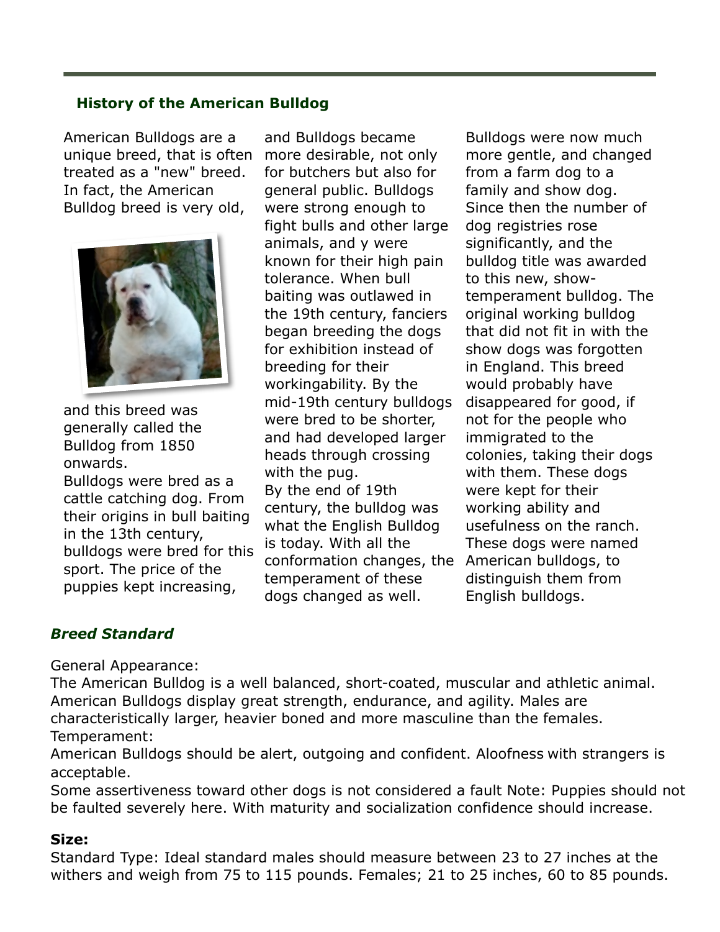#### **History of the American Bulldog**

American Bulldogs are a unique breed, that is often treated as a "new" breed. In fact, the American Bulldog breed is very old,



and this breed was generally called the Bulldog from 1850 onwards.

Bulldogs were bred as a cattle catching dog. From their origins in bull baiting in the 13th century, bulldogs were bred for this sport. The price of the puppies kept increasing,

and Bulldogs became more desirable, not only for butchers but also for general public. Bulldogs were strong enough to fight bulls and other large animals, and y were known for their high pain tolerance. When bull baiting was outlawed in the 19th century, fanciers began breeding the dogs for exhibition instead of breeding for their workingability. By the mid-19th century bulldogs were bred to be shorter, and had developed larger heads through crossing with the pug. By the end of 19th century, the bulldog was what the English Bulldog is today. With all the conformation changes, the American bulldogs, to temperament of these dogs changed as well.

Bulldogs were now much more gentle, and changed from a farm dog to a family and show dog. Since then the number of dog registries rose significantly, and the bulldog title was awarded to this new, showtemperament bulldog. The original working bulldog that did not fit in with the show dogs was forgotten in England. This breed would probably have disappeared for good, if not for the people who immigrated to the colonies, taking their dogs with them. These dogs were kept for their working ability and usefulness on the ranch. These dogs were named distinguish them from English bulldogs.

#### *Breed Standard*

General Appearance:

The American Bulldog is a well balanced, short-coated, muscular and athletic animal. American Bulldogs display great strength, endurance, and agility. Males are characteristically larger, heavier boned and more masculine than the females. Temperament:

American Bulldogs should be alert, outgoing and confident. Aloofness with strangers is acceptable.

Some assertiveness toward other dogs is not considered a fault Note: Puppies should not be faulted severely here. With maturity and socialization confidence should increase.

#### **Size:**

Standard Type: Ideal standard males should measure between 23 to 27 inches at the withers and weigh from 75 to 115 pounds. Females; 21 to 25 inches, 60 to 85 pounds.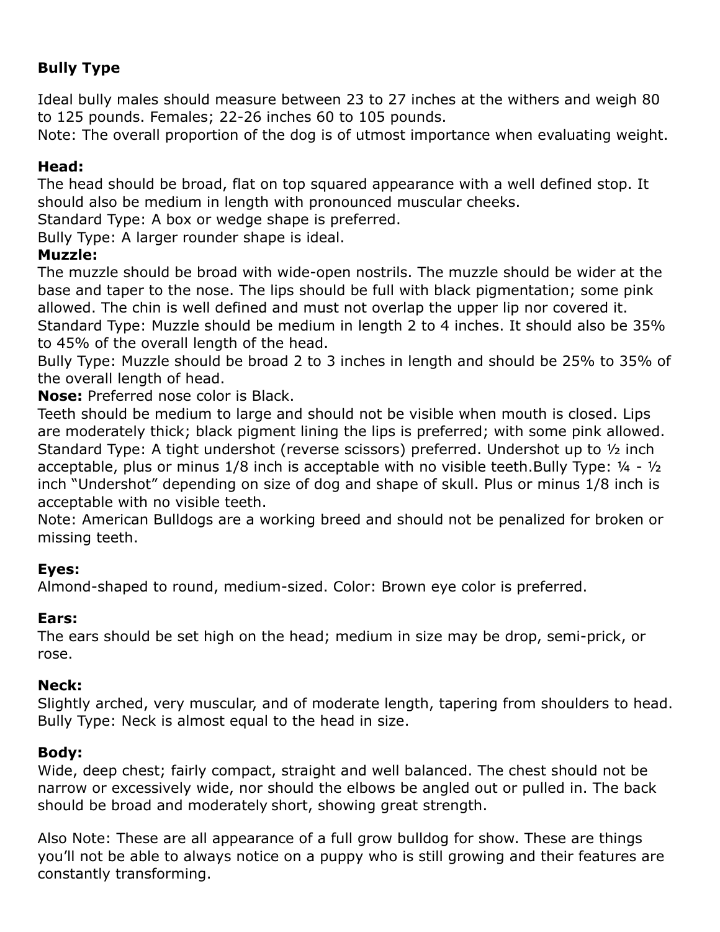### **Bully Type**

Ideal bully males should measure between 23 to 27 inches at the withers and weigh 80 to 125 pounds. Females; 22-26 inches 60 to 105 pounds.

Note: The overall proportion of the dog is of utmost importance when evaluating weight.

#### **Head:**

The head should be broad, flat on top squared appearance with a well defined stop. It should also be medium in length with pronounced muscular cheeks.

Standard Type: A box or wedge shape is preferred.

Bully Type: A larger rounder shape is ideal.

#### **Muzzle:**

The muzzle should be broad with wide-open nostrils. The muzzle should be wider at the base and taper to the nose. The lips should be full with black pigmentation; some pink allowed. The chin is well defined and must not overlap the upper lip nor covered it. Standard Type: Muzzle should be medium in length 2 to 4 inches. It should also be 35% to 45% of the overall length of the head.

Bully Type: Muzzle should be broad 2 to 3 inches in length and should be 25% to 35% of the overall length of head.

**Nose:** Preferred nose color is Black.

Teeth should be medium to large and should not be visible when mouth is closed. Lips are moderately thick; black pigment lining the lips is preferred; with some pink allowed. Standard Type: A tight undershot (reverse scissors) preferred. Undershot up to ½ inch acceptable, plus or minus 1/8 inch is acceptable with no visible teeth.Bully Type: ¼ - ½ inch "Undershot" depending on size of dog and shape of skull. Plus or minus 1/8 inch is acceptable with no visible teeth.

Note: American Bulldogs are a working breed and should not be penalized for broken or missing teeth.

#### **Eyes:**

Almond-shaped to round, medium-sized. Color: Brown eye color is preferred.

#### **Ears:**

The ears should be set high on the head; medium in size may be drop, semi-prick, or rose.

#### **Neck:**

Slightly arched, very muscular, and of moderate length, tapering from shoulders to head. Bully Type: Neck is almost equal to the head in size.

#### **Body:**

Wide, deep chest; fairly compact, straight and well balanced. The chest should not be narrow or excessively wide, nor should the elbows be angled out or pulled in. The back should be broad and moderately short, showing great strength.

Also Note: These are all appearance of a full grow bulldog for show. These are things you'll not be able to always notice on a puppy who is still growing and their features are constantly transforming.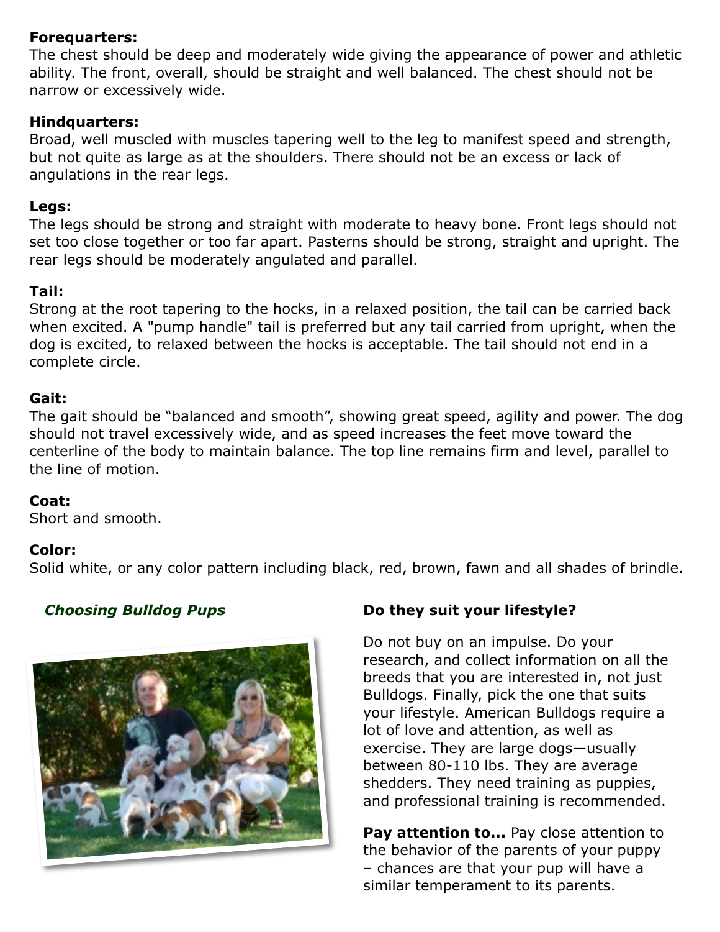#### **Forequarters:**

The chest should be deep and moderately wide giving the appearance of power and athletic ability. The front, overall, should be straight and well balanced. The chest should not be narrow or excessively wide.

#### **Hindquarters:**

Broad, well muscled with muscles tapering well to the leg to manifest speed and strength, but not quite as large as at the shoulders. There should not be an excess or lack of angulations in the rear legs.

#### **Legs:**

The legs should be strong and straight with moderate to heavy bone. Front legs should not set too close together or too far apart. Pasterns should be strong, straight and upright. The rear legs should be moderately angulated and parallel.

#### **Tail:**

Strong at the root tapering to the hocks, in a relaxed position, the tail can be carried back when excited. A "pump handle" tail is preferred but any tail carried from upright, when the dog is excited, to relaxed between the hocks is acceptable. The tail should not end in a complete circle.

#### **Gait:**

The gait should be "balanced and smooth", showing great speed, agility and power. The dog should not travel excessively wide, and as speed increases the feet move toward the centerline of the body to maintain balance. The top line remains firm and level, parallel to the line of motion.

#### **Coat:**

Short and smooth.

#### **Color:**

Solid white, or any color pattern including black, red, brown, fawn and all shades of brindle.



#### *Choosing Bulldog Pups* **Do they suit your lifestyle?**

Do not buy on an impulse. Do your research, and collect information on all the breeds that you are interested in, not just Bulldogs. Finally, pick the one that suits your lifestyle. American Bulldogs require a lot of love and attention, as well as exercise. They are large dogs—usually between 80-110 lbs. They are average shedders. They need training as puppies, and professional training is recommended.

**Pay attention to...** Pay close attention to the behavior of the parents of your puppy – chances are that your pup will have a similar temperament to its parents.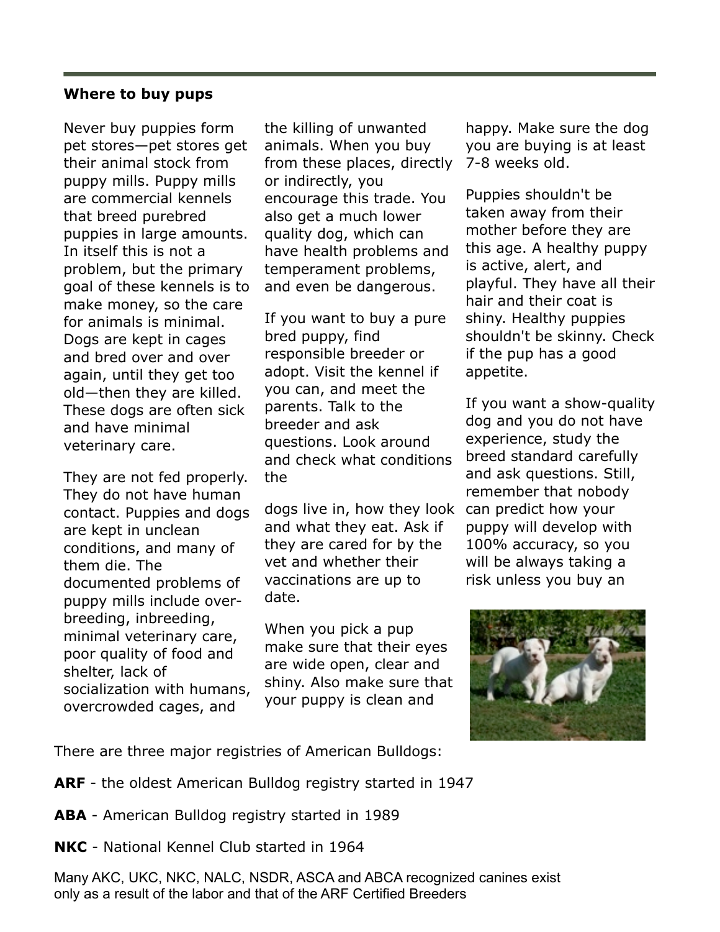#### **Where to buy pups**

Never buy puppies form pet stores—pet stores get their animal stock from puppy mills. Puppy mills are commercial kennels that breed purebred puppies in large amounts. In itself this is not a problem, but the primary goal of these kennels is to make money, so the care for animals is minimal. Dogs are kept in cages and bred over and over again, until they get too old—then they are killed. These dogs are often sick and have minimal veterinary care.

They are not fed properly. They do not have human contact. Puppies and dogs are kept in unclean conditions, and many of them die. The documented problems of puppy mills include overbreeding, inbreeding, minimal veterinary care, poor quality of food and shelter, lack of socialization with humans, overcrowded cages, and

the killing of unwanted animals. When you buy from these places, directly or indirectly, you encourage this trade. You also get a much lower quality dog, which can have health problems and temperament problems, and even be dangerous.

If you want to buy a pure bred puppy, find responsible breeder or adopt. Visit the kennel if you can, and meet the parents. Talk to the breeder and ask questions. Look around and check what conditions the

dogs live in, how they look can predict how your and what they eat. Ask if they are cared for by the vet and whether their vaccinations are up to date.

When you pick a pup make sure that their eyes are wide open, clear and shiny. Also make sure that your puppy is clean and

happy. Make sure the dog you are buying is at least 7-8 weeks old.

Puppies shouldn't be taken away from their mother before they are this age. A healthy puppy is active, alert, and playful. They have all their hair and their coat is shiny. Healthy puppies shouldn't be skinny. Check if the pup has a good appetite.

If you want a show-quality dog and you do not have experience, study the breed standard carefully and ask questions. Still, remember that nobody puppy will develop with 100% accuracy, so you will be always taking a risk unless you buy an



There are three major registries of American Bulldogs:

- **ARF**  the oldest American Bulldog registry started in 1947
- **ABA**  American Bulldog registry started in 1989
- **NKC**  National Kennel Club started in 1964

Many AKC, UKC, NKC, NALC, NSDR, ASCA and ABCA recognized canines exist only as a result of the labor and that of the ARF Certified Breeders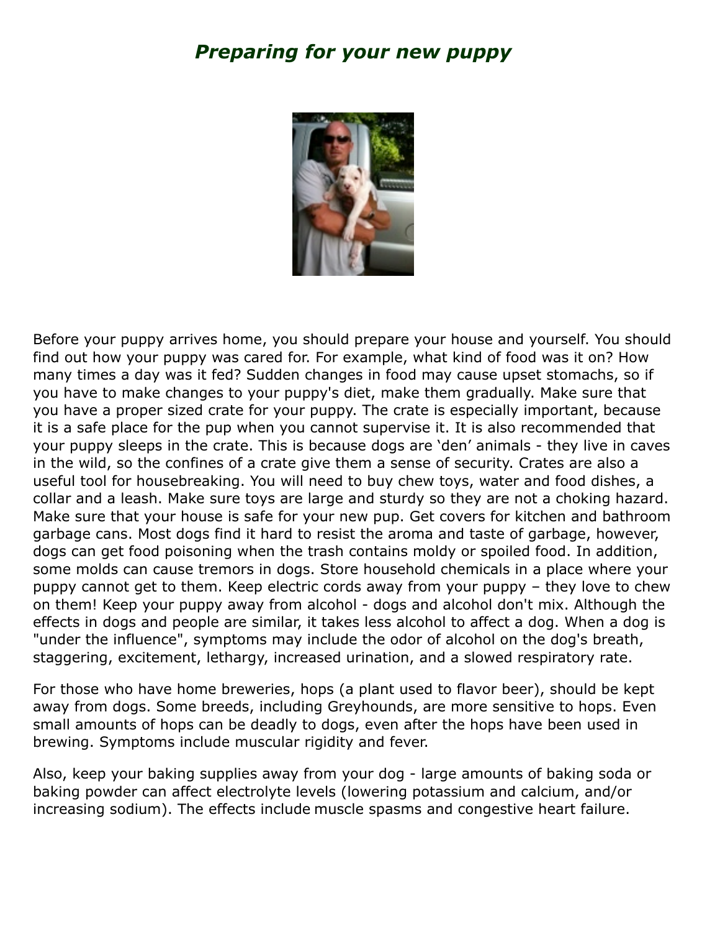# *Preparing for your new puppy*



Before your puppy arrives home, you should prepare your house and yourself. You should find out how your puppy was cared for. For example, what kind of food was it on? How many times a day was it fed? Sudden changes in food may cause upset stomachs, so if you have to make changes to your puppy's diet, make them gradually. Make sure that you have a proper sized crate for your puppy. The crate is especially important, because it is a safe place for the pup when you cannot supervise it. It is also recommended that your puppy sleeps in the crate. This is because dogs are 'den' animals - they live in caves in the wild, so the confines of a crate give them a sense of security. Crates are also a useful tool for housebreaking. You will need to buy chew toys, water and food dishes, a collar and a leash. Make sure toys are large and sturdy so they are not a choking hazard. Make sure that your house is safe for your new pup. Get covers for kitchen and bathroom garbage cans. Most dogs find it hard to resist the aroma and taste of garbage, however, dogs can get food poisoning when the trash contains moldy or spoiled food. In addition, some molds can cause tremors in dogs. Store household chemicals in a place where your puppy cannot get to them. Keep electric cords away from your puppy – they love to chew on them! Keep your puppy away from alcohol - dogs and alcohol don't mix. Although the effects in dogs and people are similar, it takes less alcohol to affect a dog. When a dog is "under the influence", symptoms may include the odor of alcohol on the dog's breath, staggering, excitement, lethargy, increased urination, and a slowed respiratory rate.

For those who have home breweries, hops (a plant used to flavor beer), should be kept away from dogs. Some breeds, including Greyhounds, are more sensitive to hops. Even small amounts of hops can be deadly to dogs, even after the hops have been used in brewing. Symptoms include muscular rigidity and fever.

Also, keep your baking supplies away from your dog - large amounts of baking soda or baking powder can affect electrolyte levels (lowering potassium and calcium, and/or increasing sodium). The effects include muscle spasms and congestive heart failure.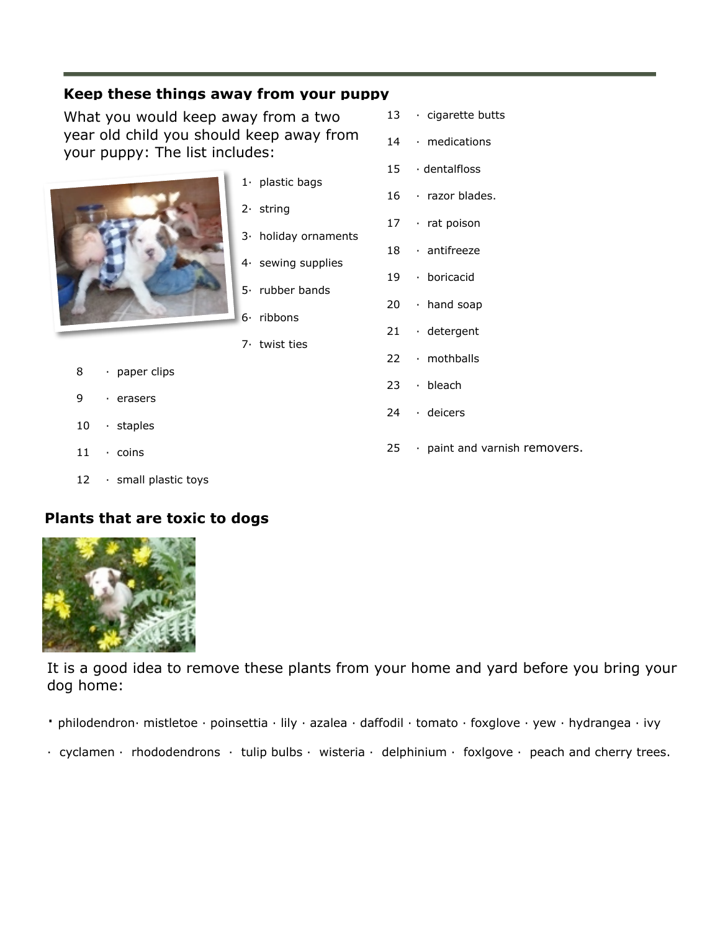#### **Keep these things away from your puppy**

What you would keep away from a two year old child you should keep away from your puppy: The list includes:



1· plastic bags

- 2· string
- 3· holiday ornaments
- 4· sewing supplies
- 5· rubber bands
- 6· ribbons
- 7· twist ties
- 8 · paper clips
- 9 · erasers
- 10 · staples
- 11 · coins
- 12 · small plastic toys

#### **Plants that are toxic to dogs**



It is a good idea to remove these plants from your home and yard before you bring your dog home:

- · philodendron· mistletoe · poinsettia · lily · azalea · daffodil · tomato · foxglove · yew · hydrangea · ivy
- $\cdot$  cyclamen  $\cdot$  rhododendrons  $\cdot$  tulip bulbs  $\cdot$  wisteria  $\cdot$  delphinium  $\cdot$  foxigove  $\cdot$  peach and cherry trees.
- 13 · cigarette butts
- 14 · medications
- 15 · dentalfloss
- 16 · razor blades.
- 17 · rat poison
- 18 · antifreeze
- 19 · boricacid
- 20 · hand soap
- 21 · detergent
- 22 · mothballs
- 23 · bleach
- 24 · deicers
- 25 · paint and varnish removers.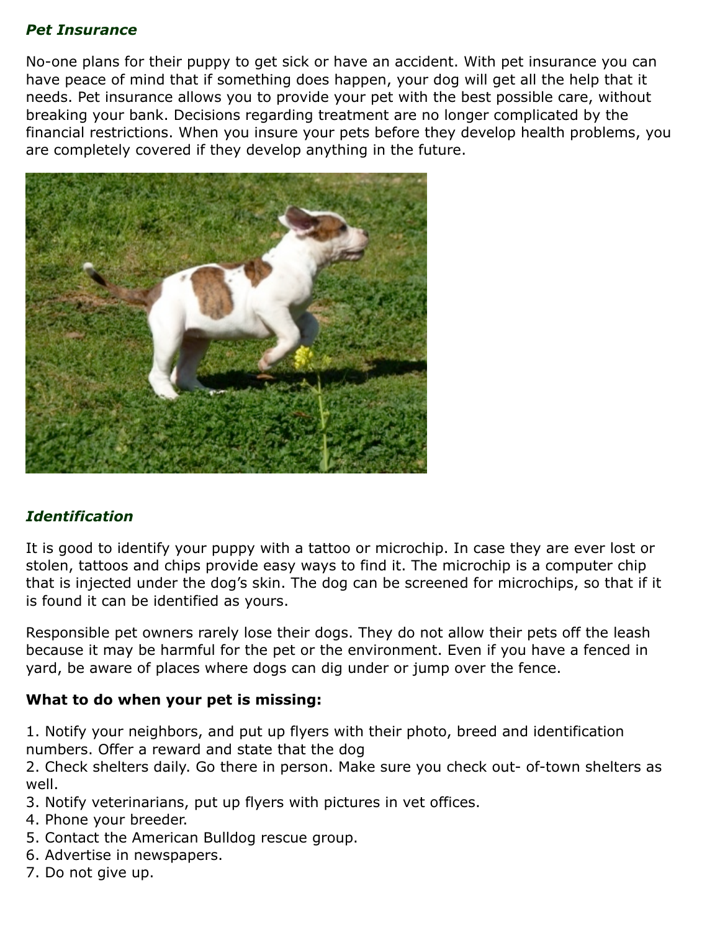#### *Pet Insurance*

No-one plans for their puppy to get sick or have an accident. With pet insurance you can have peace of mind that if something does happen, your dog will get all the help that it needs. Pet insurance allows you to provide your pet with the best possible care, without breaking your bank. Decisions regarding treatment are no longer complicated by the financial restrictions. When you insure your pets before they develop health problems, you are completely covered if they develop anything in the future.



#### *Identification*

It is good to identify your puppy with a tattoo or microchip. In case they are ever lost or stolen, tattoos and chips provide easy ways to find it. The microchip is a computer chip that is injected under the dog's skin. The dog can be screened for microchips, so that if it is found it can be identified as yours.

Responsible pet owners rarely lose their dogs. They do not allow their pets off the leash because it may be harmful for the pet or the environment. Even if you have a fenced in yard, be aware of places where dogs can dig under or jump over the fence.

#### **What to do when your pet is missing:**

1. Notify your neighbors, and put up flyers with their photo, breed and identification numbers. Offer a reward and state that the dog

2. Check shelters daily. Go there in person. Make sure you check out- of-town shelters as well.

- 3. Notify veterinarians, put up flyers with pictures in vet offices.
- 4. Phone your breeder.
- 5. Contact the American Bulldog rescue group.
- 6. Advertise in newspapers.
- 7. Do not give up.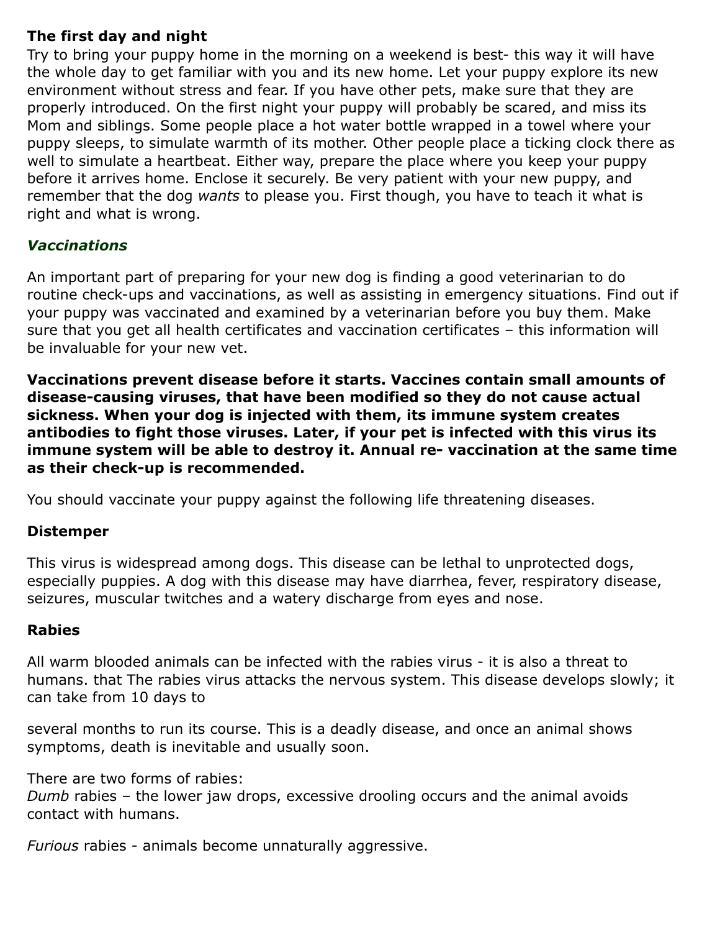#### **The first day and night**

Try to bring your puppy home in the morning on a weekend is best- this way it will have the whole day to get familiar with you and its new home. Let your puppy explore its new environment without stress and fear. If you have other pets, make sure that they are properly introduced. On the first night your puppy will probably be scared, and miss its Mom and siblings. Some people place a hot water bottle wrapped in a towel where your puppy sleeps, to simulate warmth of its mother. Other people place a ticking clock there as well to simulate a heartbeat. Either way, prepare the place where you keep your puppy before it arrives home. Enclose it securely. Be very patient with your new puppy, and remember that the dog *wants* to please you. First though, you have to teach it what is right and what is wrong.

#### *Vaccinations*

An important part of preparing for your new dog is finding a good veterinarian to do routine check-ups and vaccinations, as well as assisting in emergency situations. Find out if your puppy was vaccinated and examined by a veterinarian before you buy them. Make sure that you get all health certificates and vaccination certificates – this information will be invaluable for your new vet.

**Vaccinations prevent disease before it starts. Vaccines contain small amounts of disease-causing viruses, that have been modified so they do not cause actual sickness. When your dog is injected with them, its immune system creates antibodies to fight those viruses. Later, if your pet is infected with this virus its immune system will be able to destroy it. Annual re- vaccination at the same time as their check-up is recommended.**

You should vaccinate your puppy against the following life threatening diseases.

#### **Distemper**

This virus is widespread among dogs. This disease can be lethal to unprotected dogs, especially puppies. A dog with this disease may have diarrhea, fever, respiratory disease, seizures, muscular twitches and a watery discharge from eyes and nose.

#### **Rabies**

All warm blooded animals can be infected with the rabies virus - it is also a threat to humans. that The rabies virus attacks the nervous system. This disease develops slowly; it can take from 10 days to

several months to run its course. This is a deadly disease, and once an animal shows symptoms, death is inevitable and usually soon.

There are two forms of rabies: *Dumb* rabies – the lower jaw drops, excessive drooling occurs and the animal avoids contact with humans.

*Furious* rabies - animals become unnaturally aggressive.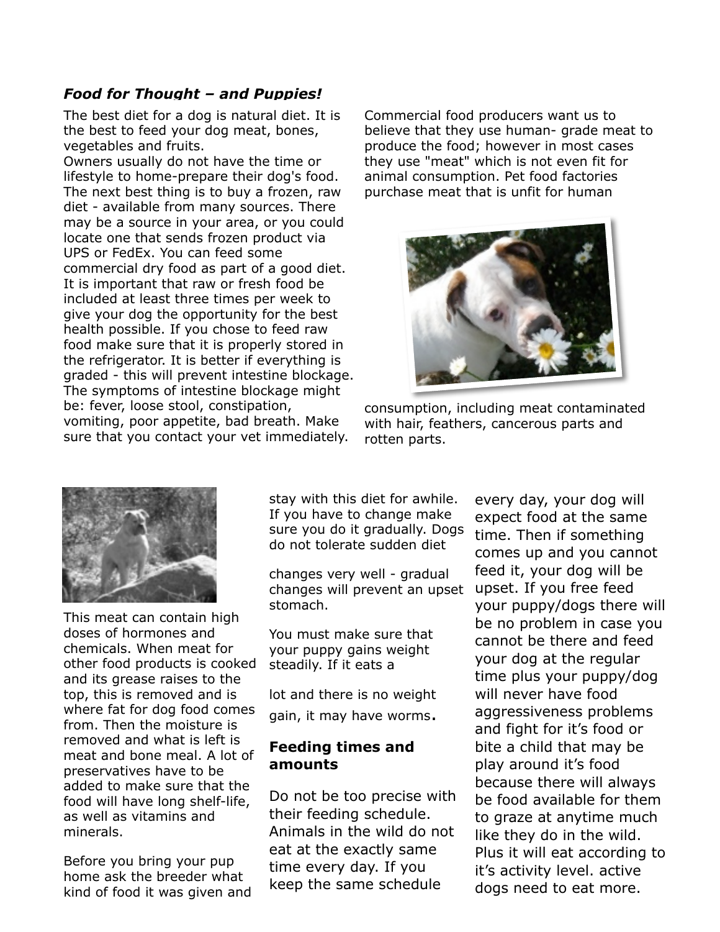#### *Food for Thought – and Puppies!*

The best diet for a dog is natural diet. It is the best to feed your dog meat, bones, vegetables and fruits.

Owners usually do not have the time or lifestyle to home-prepare their dog's food. The next best thing is to buy a frozen, raw diet - available from many sources. There may be a source in your area, or you could locate one that sends frozen product via UPS or FedEx. You can feed some commercial dry food as part of a good diet. It is important that raw or fresh food be included at least three times per week to give your dog the opportunity for the best health possible. If you chose to feed raw food make sure that it is properly stored in the refrigerator. It is better if everything is graded - this will prevent intestine blockage. The symptoms of intestine blockage might be: fever, loose stool, constipation, vomiting, poor appetite, bad breath. Make sure that you contact your vet immediately.

Commercial food producers want us to believe that they use human- grade meat to produce the food; however in most cases they use "meat" which is not even fit for animal consumption. Pet food factories purchase meat that is unfit for human



consumption, including meat contaminated with hair, feathers, cancerous parts and rotten parts.



This meat can contain high doses of hormones and chemicals. When meat for other food products is cooked and its grease raises to the top, this is removed and is where fat for dog food comes from. Then the moisture is removed and what is left is meat and bone meal. A lot of preservatives have to be added to make sure that the food will have long shelf-life, as well as vitamins and minerals.

Before you bring your pup home ask the breeder what kind of food it was given and stay with this diet for awhile. If you have to change make sure you do it gradually. Dogs do not tolerate sudden diet

changes very well - gradual changes will prevent an upset stomach.

You must make sure that your puppy gains weight steadily. If it eats a

lot and there is no weight gain, it may have worms.

#### **Feeding times and amounts**

Do not be too precise with their feeding schedule. Animals in the wild do not eat at the exactly same time every day. If you keep the same schedule

every day, your dog will expect food at the same time. Then if something comes up and you cannot feed it, your dog will be upset. If you free feed your puppy/dogs there will be no problem in case you cannot be there and feed your dog at the regular time plus your puppy/dog will never have food aggressiveness problems and fight for it's food or bite a child that may be play around it's food because there will always be food available for them to graze at anytime much like they do in the wild. Plus it will eat according to it's activity level. active dogs need to eat more.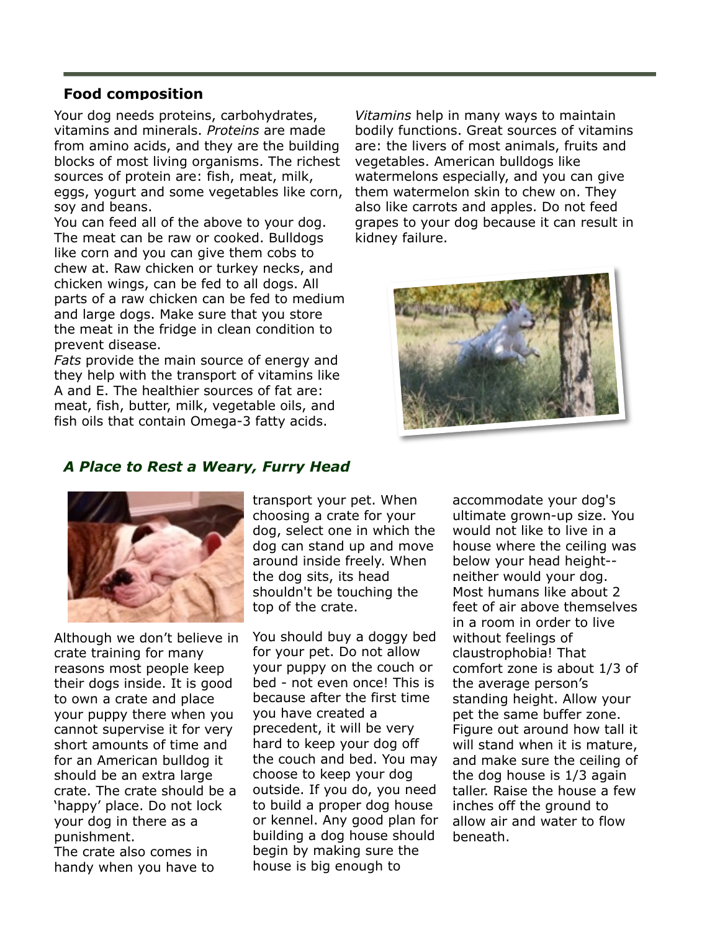#### **Food composition**

Your dog needs proteins, carbohydrates, vitamins and minerals. *Proteins* are made from amino acids, and they are the building blocks of most living organisms. The richest sources of protein are: fish, meat, milk, eggs, yogurt and some vegetables like corn, soy and beans.

You can feed all of the above to your dog. The meat can be raw or cooked. Bulldogs like corn and you can give them cobs to chew at. Raw chicken or turkey necks, and chicken wings, can be fed to all dogs. All parts of a raw chicken can be fed to medium and large dogs. Make sure that you store the meat in the fridge in clean condition to prevent disease.

*Fats* provide the main source of energy and they help with the transport of vitamins like A and E. The healthier sources of fat are: meat, fish, butter, milk, vegetable oils, and fish oils that contain Omega-3 fatty acids.

*Vitamins* help in many ways to maintain bodily functions. Great sources of vitamins are: the livers of most animals, fruits and vegetables. American bulldogs like watermelons especially, and you can give them watermelon skin to chew on. They also like carrots and apples. Do not feed grapes to your dog because it can result in kidney failure.



#### *A Place to Rest a Weary, Furry Head*



Although we don't believe in crate training for many reasons most people keep their dogs inside. It is good to own a crate and place your puppy there when you cannot supervise it for very short amounts of time and for an American bulldog it should be an extra large crate. The crate should be a 'happy' place. Do not lock your dog in there as a punishment. The crate also comes in handy when you have to

transport your pet. When choosing a crate for your dog, select one in which the dog can stand up and move around inside freely. When the dog sits, its head shouldn't be touching the top of the crate.

You should buy a doggy bed for your pet. Do not allow your puppy on the couch or bed - not even once! This is because after the first time you have created a precedent, it will be very hard to keep your dog off the couch and bed. You may choose to keep your dog outside. If you do, you need to build a proper dog house or kennel. Any good plan for building a dog house should begin by making sure the house is big enough to

accommodate your dog's ultimate grown-up size. You would not like to live in a house where the ceiling was below your head height- neither would your dog. Most humans like about 2 feet of air above themselves in a room in order to live without feelings of claustrophobia! That comfort zone is about 1/3 of the average person's standing height. Allow your pet the same buffer zone. Figure out around how tall it will stand when it is mature, and make sure the ceiling of the dog house is 1/3 again taller. Raise the house a few inches off the ground to allow air and water to flow beneath.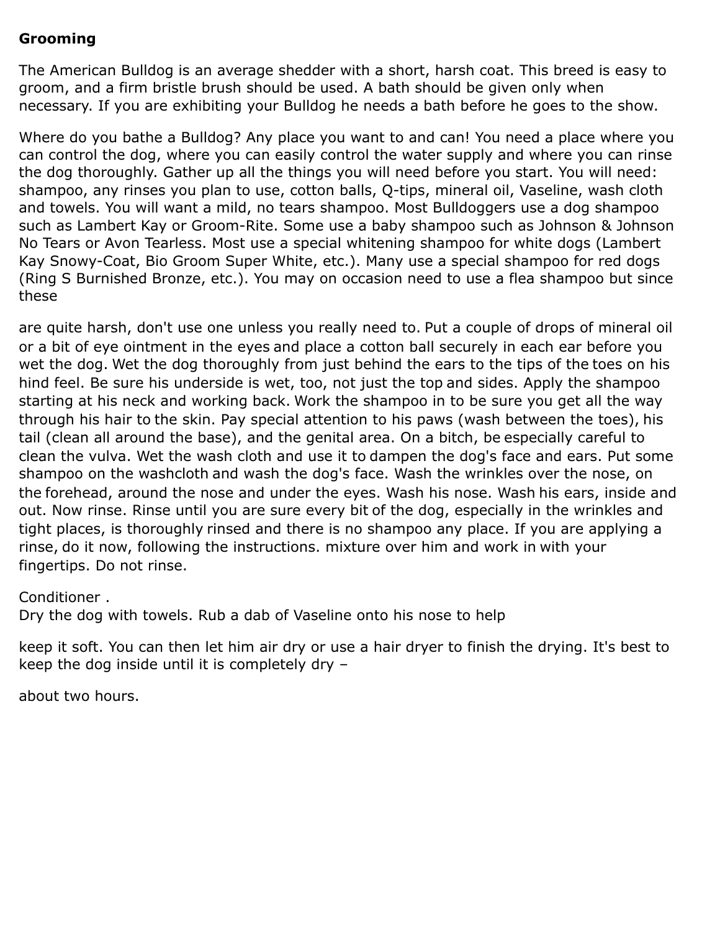#### **Grooming**

The American Bulldog is an average shedder with a short, harsh coat. This breed is easy to groom, and a firm bristle brush should be used. A bath should be given only when necessary. If you are exhibiting your Bulldog he needs a bath before he goes to the show.

Where do you bathe a Bulldog? Any place you want to and can! You need a place where you can control the dog, where you can easily control the water supply and where you can rinse the dog thoroughly. Gather up all the things you will need before you start. You will need: shampoo, any rinses you plan to use, cotton balls, Q-tips, mineral oil, Vaseline, wash cloth and towels. You will want a mild, no tears shampoo. Most Bulldoggers use a dog shampoo such as Lambert Kay or Groom-Rite. Some use a baby shampoo such as Johnson & Johnson No Tears or Avon Tearless. Most use a special whitening shampoo for white dogs (Lambert Kay Snowy-Coat, Bio Groom Super White, etc.). Many use a special shampoo for red dogs (Ring S Burnished Bronze, etc.). You may on occasion need to use a flea shampoo but since these

are quite harsh, don't use one unless you really need to. Put a couple of drops of mineral oil or a bit of eye ointment in the eyes and place a cotton ball securely in each ear before you wet the dog. Wet the dog thoroughly from just behind the ears to the tips of the toes on his hind feel. Be sure his underside is wet, too, not just the top and sides. Apply the shampoo starting at his neck and working back. Work the shampoo in to be sure you get all the way through his hair to the skin. Pay special attention to his paws (wash between the toes), his tail (clean all around the base), and the genital area. On a bitch, be especially careful to clean the vulva. Wet the wash cloth and use it to dampen the dog's face and ears. Put some shampoo on the washcloth and wash the dog's face. Wash the wrinkles over the nose, on the forehead, around the nose and under the eyes. Wash his nose. Wash his ears, inside and out. Now rinse. Rinse until you are sure every bit of the dog, especially in the wrinkles and tight places, is thoroughly rinsed and there is no shampoo any place. If you are applying a rinse, do it now, following the instructions. mixture over him and work in with your fingertips. Do not rinse.

#### Conditioner .

Dry the dog with towels. Rub a dab of Vaseline onto his nose to help

keep it soft. You can then let him air dry or use a hair dryer to finish the drying. It's best to keep the dog inside until it is completely dry –

about two hours.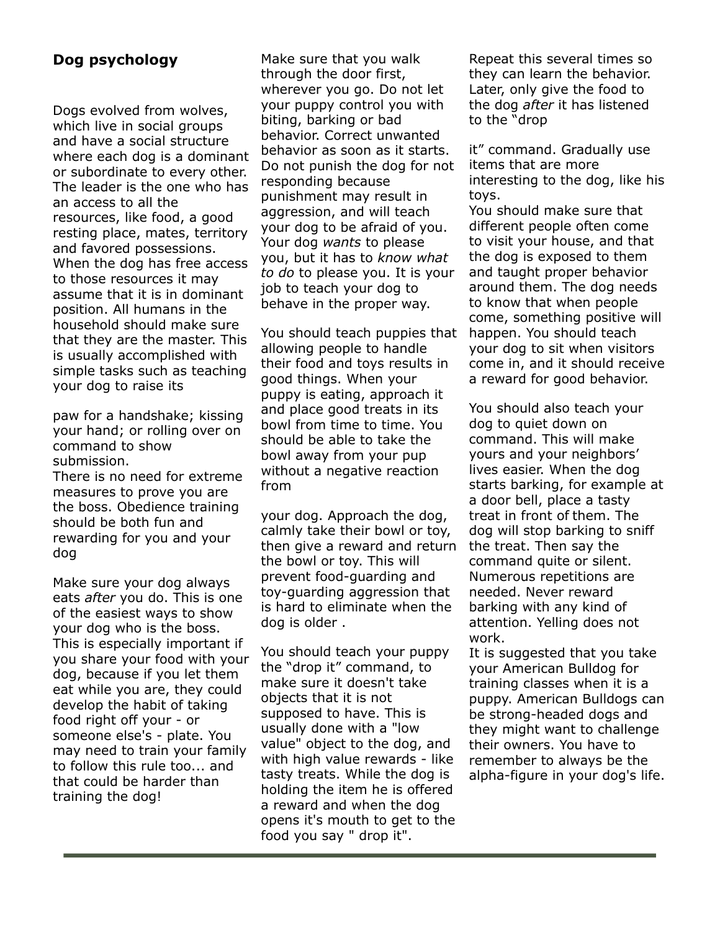#### **Dog psychology**

Dogs evolved from wolves, which live in social groups and have a social structure where each dog is a dominant or subordinate to every other. The leader is the one who has an access to all the resources, like food, a good resting place, mates, territory and favored possessions. When the dog has free access to those resources it may assume that it is in dominant position. All humans in the household should make sure that they are the master. This is usually accomplished with simple tasks such as teaching your dog to raise its

paw for a handshake; kissing your hand; or rolling over on command to show submission.

There is no need for extreme measures to prove you are the boss. Obedience training should be both fun and rewarding for you and your dog

Make sure your dog always eats *after* you do. This is one of the easiest ways to show your dog who is the boss. This is especially important if you share your food with your dog, because if you let them eat while you are, they could develop the habit of taking food right off your - or someone else's - plate. You may need to train your family to follow this rule too... and that could be harder than training the dog!

Make sure that you walk through the door first, wherever you go. Do not let your puppy control you with biting, barking or bad behavior. Correct unwanted behavior as soon as it starts. Do not punish the dog for not responding because punishment may result in aggression, and will teach your dog to be afraid of you. Your dog *wants* to please you, but it has to *know what to do* to please you. It is your job to teach your dog to behave in the proper way.

You should teach puppies that allowing people to handle their food and toys results in good things. When your puppy is eating, approach it and place good treats in its bowl from time to time. You should be able to take the bowl away from your pup without a negative reaction from

your dog. Approach the dog, calmly take their bowl or toy, then give a reward and return the bowl or toy. This will prevent food-guarding and toy-guarding aggression that is hard to eliminate when the dog is older .

You should teach your puppy the "drop it" command, to make sure it doesn't take objects that it is not supposed to have. This is usually done with a "low value" object to the dog, and with high value rewards - like tasty treats. While the dog is holding the item he is offered a reward and when the dog opens it's mouth to get to the food you say " drop it".

Repeat this several times so they can learn the behavior. Later, only give the food to the dog *after* it has listened to the "drop

it" command. Gradually use items that are more interesting to the dog, like his toys.

You should make sure that different people often come to visit your house, and that the dog is exposed to them and taught proper behavior around them. The dog needs to know that when people come, something positive will happen. You should teach your dog to sit when visitors come in, and it should receive a reward for good behavior.

You should also teach your dog to quiet down on command. This will make yours and your neighbors' lives easier. When the dog starts barking, for example at a door bell, place a tasty treat in front of them. The dog will stop barking to sniff the treat. Then say the command quite or silent. Numerous repetitions are needed. Never reward barking with any kind of attention. Yelling does not work.

It is suggested that you take your American Bulldog for training classes when it is a puppy. American Bulldogs can be strong-headed dogs and they might want to challenge their owners. You have to remember to always be the alpha-figure in your dog's life.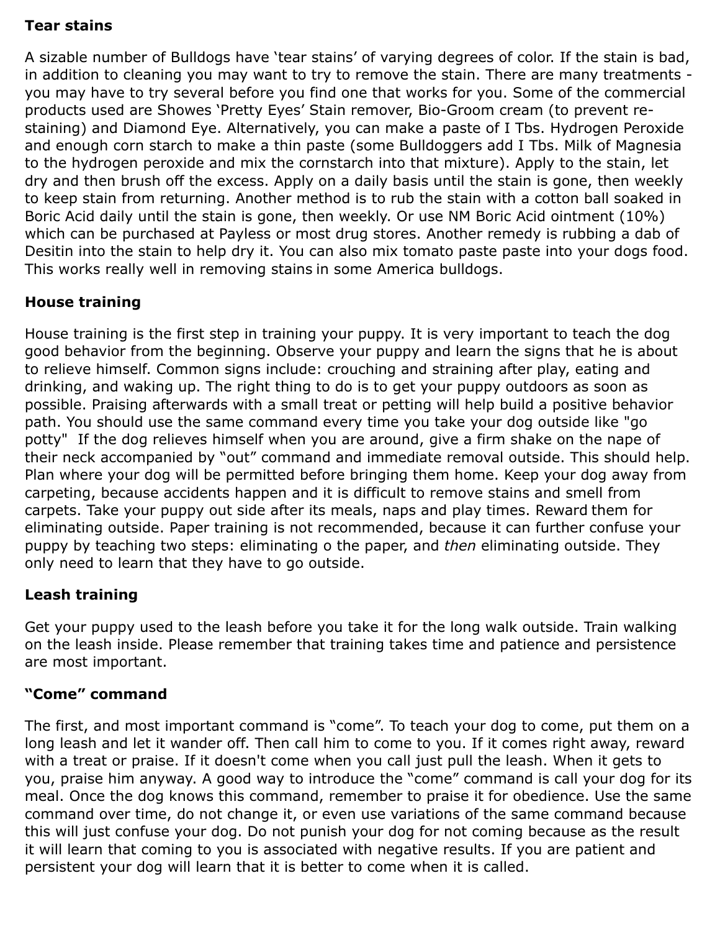#### **Tear stains**

A sizable number of Bulldogs have 'tear stains' of varying degrees of color. If the stain is bad, in addition to cleaning you may want to try to remove the stain. There are many treatments you may have to try several before you find one that works for you. Some of the commercial products used are Showes 'Pretty Eyes' Stain remover, Bio-Groom cream (to prevent restaining) and Diamond Eye. Alternatively, you can make a paste of I Tbs. Hydrogen Peroxide and enough corn starch to make a thin paste (some Bulldoggers add I Tbs. Milk of Magnesia to the hydrogen peroxide and mix the cornstarch into that mixture). Apply to the stain, let dry and then brush off the excess. Apply on a daily basis until the stain is gone, then weekly to keep stain from returning. Another method is to rub the stain with a cotton ball soaked in Boric Acid daily until the stain is gone, then weekly. Or use NM Boric Acid ointment (10%) which can be purchased at Payless or most drug stores. Another remedy is rubbing a dab of Desitin into the stain to help dry it. You can also mix tomato paste paste into your dogs food. This works really well in removing stains in some America bulldogs.

#### **House training**

House training is the first step in training your puppy. It is very important to teach the dog good behavior from the beginning. Observe your puppy and learn the signs that he is about to relieve himself. Common signs include: crouching and straining after play, eating and drinking, and waking up. The right thing to do is to get your puppy outdoors as soon as possible. Praising afterwards with a small treat or petting will help build a positive behavior path. You should use the same command every time you take your dog outside like "go potty" If the dog relieves himself when you are around, give a firm shake on the nape of their neck accompanied by "out" command and immediate removal outside. This should help. Plan where your dog will be permitted before bringing them home. Keep your dog away from carpeting, because accidents happen and it is difficult to remove stains and smell from carpets. Take your puppy out side after its meals, naps and play times. Reward them for eliminating outside. Paper training is not recommended, because it can further confuse your puppy by teaching two steps: eliminating o the paper, and *then* eliminating outside. They only need to learn that they have to go outside.

#### **Leash training**

Get your puppy used to the leash before you take it for the long walk outside. Train walking on the leash inside. Please remember that training takes time and patience and persistence are most important.

#### **"Come" command**

The first, and most important command is "come". To teach your dog to come, put them on a long leash and let it wander off. Then call him to come to you. If it comes right away, reward with a treat or praise. If it doesn't come when you call just pull the leash. When it gets to you, praise him anyway. A good way to introduce the "come" command is call your dog for its meal. Once the dog knows this command, remember to praise it for obedience. Use the same command over time, do not change it, or even use variations of the same command because this will just confuse your dog. Do not punish your dog for not coming because as the result it will learn that coming to you is associated with negative results. If you are patient and persistent your dog will learn that it is better to come when it is called.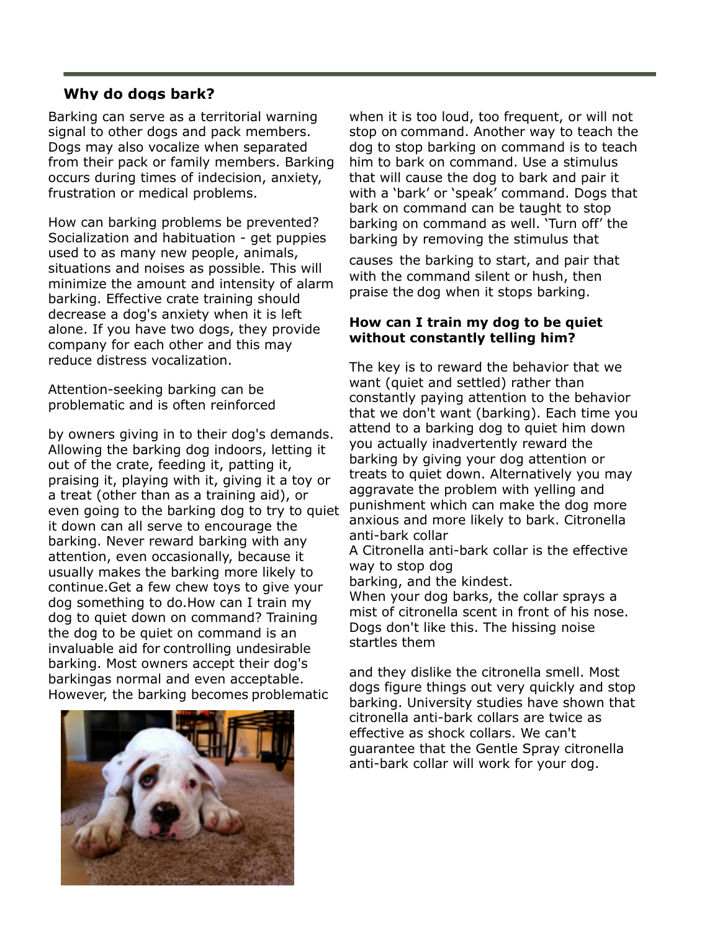#### **Why do dogs bark?**

Barking can serve as a territorial warning signal to other dogs and pack members. Dogs may also vocalize when separated from their pack or family members. Barking occurs during times of indecision, anxiety, frustration or medical problems.

How can barking problems be prevented? Socialization and habituation - get puppies used to as many new people, animals, situations and noises as possible. This will minimize the amount and intensity of alarm barking. Effective crate training should decrease a dog's anxiety when it is left alone. If you have two dogs, they provide company for each other and this may reduce distress vocalization.

Attention-seeking barking can be problematic and is often reinforced

by owners giving in to their dog's demands. Allowing the barking dog indoors, letting it out of the crate, feeding it, patting it, praising it, playing with it, giving it a toy or a treat (other than as a training aid), or even going to the barking dog to try to quiet it down can all serve to encourage the barking. Never reward barking with any attention, even occasionally, because it usually makes the barking more likely to continue.Get a few chew toys to give your dog something to do.How can I train my dog to quiet down on command? Training the dog to be quiet on command is an invaluable aid for controlling undesirable barking. Most owners accept their dog's barkingas normal and even acceptable. However, the barking becomes problematic



when it is too loud, too frequent, or will not stop on command. Another way to teach the dog to stop barking on command is to teach him to bark on command. Use a stimulus that will cause the dog to bark and pair it with a 'bark' or 'speak' command. Dogs that bark on command can be taught to stop barking on command as well. 'Turn off' the barking by removing the stimulus that

causes the barking to start, and pair that with the command silent or hush, then praise the dog when it stops barking.

#### **How can I train my dog to be quiet without constantly telling him?**

The key is to reward the behavior that we want (quiet and settled) rather than constantly paying attention to the behavior that we don't want (barking). Each time you attend to a barking dog to quiet him down you actually inadvertently reward the barking by giving your dog attention or treats to quiet down. Alternatively you may aggravate the problem with yelling and punishment which can make the dog more anxious and more likely to bark. Citronella anti-bark collar

A Citronella anti-bark collar is the effective way to stop dog

barking, and the kindest.

When your dog barks, the collar sprays a mist of citronella scent in front of his nose. Dogs don't like this. The hissing noise startles them

and they dislike the citronella smell. Most dogs figure things out very quickly and stop barking. University studies have shown that citronella anti-bark collars are twice as effective as shock collars. We can't guarantee that the Gentle Spray citronella anti-bark collar will work for your dog.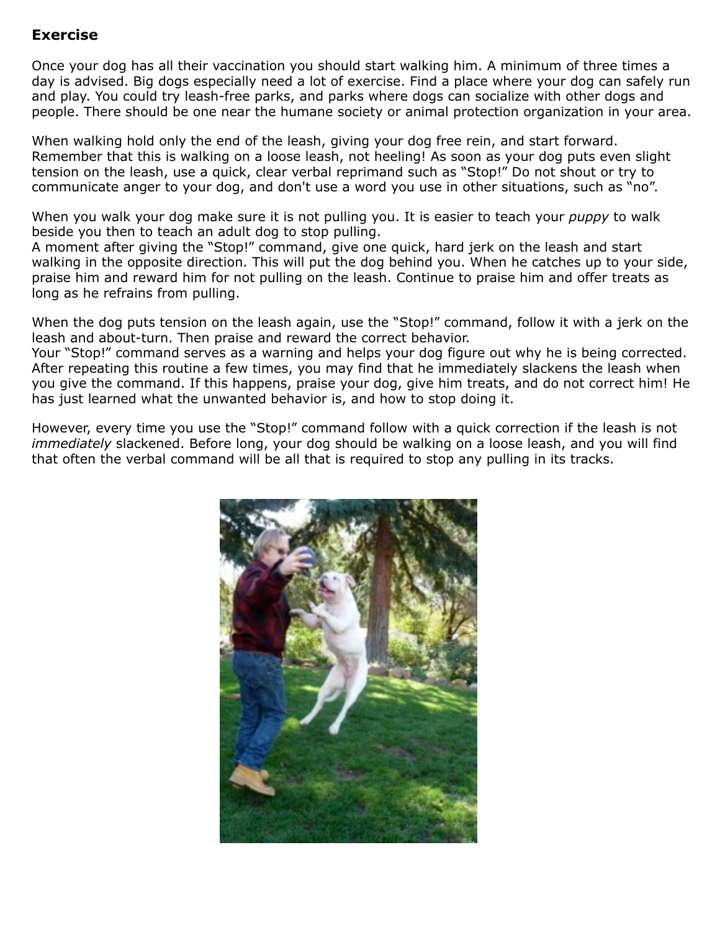#### **Exercise**

Once your dog has all their vaccination you should start walking him. A minimum of three times a day is advised. Big dogs especially need a lot of exercise. Find a place where your dog can safely run and play. You could try leash-free parks, and parks where dogs can socialize with other dogs and people. There should be one near the humane society or animal protection organization in your area.

When walking hold only the end of the leash, giving your dog free rein, and start forward. Remember that this is walking on a loose leash, not heeling! As soon as your dog puts even slight tension on the leash, use a quick, clear verbal reprimand such as "Stop!" Do not shout or try to communicate anger to your dog, and don't use a word you use in other situations, such as "no".

When you walk your dog make sure it is not pulling you. It is easier to teach your *puppy* to walk beside you then to teach an adult dog to stop pulling.

A moment after giving the "Stop!" command, give one quick, hard jerk on the leash and start walking in the opposite direction. This will put the dog behind you. When he catches up to your side, praise him and reward him for not pulling on the leash. Continue to praise him and offer treats as long as he refrains from pulling.

When the dog puts tension on the leash again, use the "Stop!" command, follow it with a jerk on the leash and about-turn. Then praise and reward the correct behavior.

Your "Stop!" command serves as a warning and helps your dog figure out why he is being corrected. After repeating this routine a few times, you may find that he immediately slackens the leash when you give the command. If this happens, praise your dog, give him treats, and do not correct him! He has just learned what the unwanted behavior is, and how to stop doing it.

However, every time you use the "Stop!" command follow with a quick correction if the leash is not *immediately* slackened. Before long, your dog should be walking on a loose leash, and you will find that often the verbal command will be all that is required to stop any pulling in its tracks.

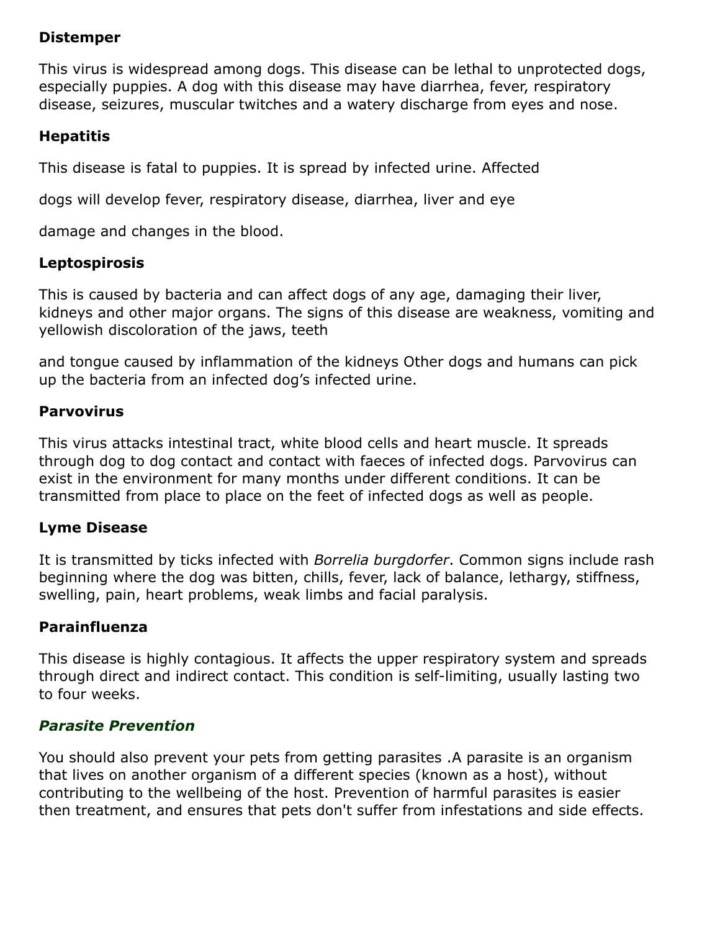#### **Distemper**

This virus is widespread among dogs. This disease can be lethal to unprotected dogs, especially puppies. A dog with this disease may have diarrhea, fever, respiratory disease, seizures, muscular twitches and a watery discharge from eyes and nose.

#### **Hepatitis**

This disease is fatal to puppies. It is spread by infected urine. Affected

dogs will develop fever, respiratory disease, diarrhea, liver and eye

damage and changes in the blood.

#### **Leptospirosis**

This is caused by bacteria and can affect dogs of any age, damaging their liver, kidneys and other major organs. The signs of this disease are weakness, vomiting and yellowish discoloration of the jaws, teeth

and tongue caused by inflammation of the kidneys Other dogs and humans can pick up the bacteria from an infected dog's infected urine.

#### **Parvovirus**

This virus attacks intestinal tract, white blood cells and heart muscle. It spreads through dog to dog contact and contact with faeces of infected dogs. Parvovirus can exist in the environment for many months under different conditions. It can be transmitted from place to place on the feet of infected dogs as well as people.

#### **Lyme Disease**

It is transmitted by ticks infected with *Borrelia burgdorfer*. Common signs include rash beginning where the dog was bitten, chills, fever, lack of balance, lethargy, stiffness, swelling, pain, heart problems, weak limbs and facial paralysis.

#### **Parainfluenza**

This disease is highly contagious. It affects the upper respiratory system and spreads through direct and indirect contact. This condition is self-limiting, usually lasting two to four weeks.

#### *Parasite Prevention*

You should also prevent your pets from getting parasites .A parasite is an organism that lives on another organism of a different species (known as a host), without contributing to the wellbeing of the host. Prevention of harmful parasites is easier then treatment, and ensures that pets don't suffer from infestations and side effects.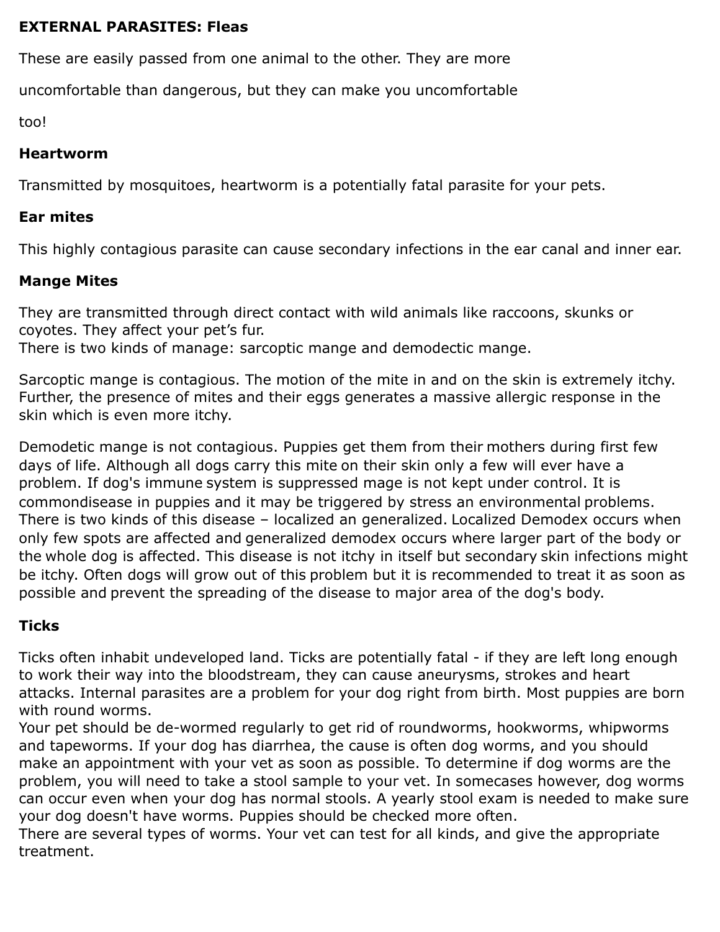#### **EXTERNAL PARASITES: Fleas**

These are easily passed from one animal to the other. They are more

uncomfortable than dangerous, but they can make you uncomfortable

too!

#### **Heartworm**

Transmitted by mosquitoes, heartworm is a potentially fatal parasite for your pets.

#### **Ear mites**

This highly contagious parasite can cause secondary infections in the ear canal and inner ear.

#### **Mange Mites**

They are transmitted through direct contact with wild animals like raccoons, skunks or coyotes. They affect your pet's fur.

There is two kinds of manage: sarcoptic mange and demodectic mange.

Sarcoptic mange is contagious. The motion of the mite in and on the skin is extremely itchy. Further, the presence of mites and their eggs generates a massive allergic response in the skin which is even more itchy.

Demodetic mange is not contagious. Puppies get them from their mothers during first few days of life. Although all dogs carry this mite on their skin only a few will ever have a problem. If dog's immune system is suppressed mage is not kept under control. It is commondisease in puppies and it may be triggered by stress an environmental problems. There is two kinds of this disease – localized an generalized. Localized Demodex occurs when only few spots are affected and generalized demodex occurs where larger part of the body or the whole dog is affected. This disease is not itchy in itself but secondary skin infections might be itchy. Often dogs will grow out of this problem but it is recommended to treat it as soon as possible and prevent the spreading of the disease to major area of the dog's body.

#### **Ticks**

Ticks often inhabit undeveloped land. Ticks are potentially fatal - if they are left long enough to work their way into the bloodstream, they can cause aneurysms, strokes and heart attacks. Internal parasites are a problem for your dog right from birth. Most puppies are born with round worms.

Your pet should be de-wormed regularly to get rid of roundworms, hookworms, whipworms and tapeworms. If your dog has diarrhea, the cause is often dog worms, and you should make an appointment with your vet as soon as possible. To determine if dog worms are the problem, you will need to take a stool sample to your vet. In somecases however, dog worms can occur even when your dog has normal stools. A yearly stool exam is needed to make sure your dog doesn't have worms. Puppies should be checked more often.

There are several types of worms. Your vet can test for all kinds, and give the appropriate treatment.